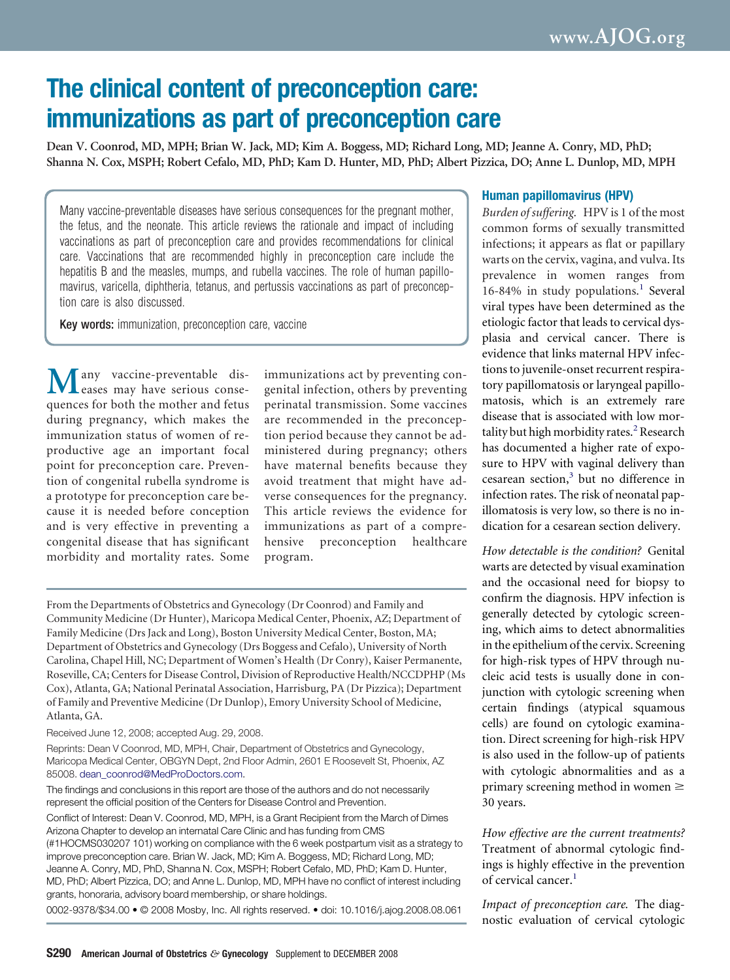# **The clinical content of preconception care: immunizations as part of preconception care**

**Dean V. Coonrod, MD, MPH; Brian W. Jack, MD; Kim A. Boggess, MD; Richard Long, MD; Jeanne A. Conry, MD, PhD; Shanna N. Cox, MSPH; Robert Cefalo, MD, PhD; Kam D. Hunter, MD, PhD; Albert Pizzica, DO; Anne L. Dunlop, MD, MPH**

Many vaccine-preventable diseases have serious consequences for the pregnant mother, the fetus, and the neonate. This article reviews the rationale and impact of including vaccinations as part of preconception care and provides recommendations for clinical care. Vaccinations that are recommended highly in preconception care include the hepatitis B and the measles, mumps, and rubella vaccines. The role of human papillomavirus, varicella, diphtheria, tetanus, and pertussis vaccinations as part of preconception care is also discussed.

Key words: immunization, preconception care, vaccine

any vaccine-preventable diseases may have serious consequences for both the mother and fetus during pregnancy, which makes the immunization status of women of reproductive age an important focal point for preconception care. Prevention of congenital rubella syndrome is a prototype for preconception care because it is needed before conception and is very effective in preventing a congenital disease that has significant morbidity and mortality rates. Some

immunizations act by preventing congenital infection, others by preventing perinatal transmission. Some vaccines are recommended in the preconception period because they cannot be administered during pregnancy; others have maternal benefits because they avoid treatment that might have adverse consequences for the pregnancy. This article reviews the evidence for immunizations as part of a comprehensive preconception healthcare program.

From the Departments of Obstetrics and Gynecology (Dr Coonrod) and Family and Community Medicine (Dr Hunter), Maricopa Medical Center, Phoenix, AZ; Department of Family Medicine (Drs Jack and Long), Boston University Medical Center, Boston, MA; Department of Obstetrics and Gynecology (Drs Boggess and Cefalo), University of North Carolina, Chapel Hill, NC; Department of Women's Health (Dr Conry), Kaiser Permanente, Roseville, CA; Centers for Disease Control, Division of Reproductive Health/NCCDPHP (Ms Cox), Atlanta, GA; National Perinatal Association, Harrisburg, PA (Dr Pizzica); Department of Family and Preventive Medicine (Dr Dunlop), Emory University School of Medicine, Atlanta, GA.

Received June 12, 2008; accepted Aug. 29, 2008.

Reprints: Dean V Coonrod, MD, MPH, Chair, Department of Obstetrics and Gynecology, Maricopa Medical Center, OBGYN Dept, 2nd Floor Admin, 2601 E Roosevelt St, Phoenix, AZ 85008. [dean\\_coonrod@MedProDoctors.com.](mailto:dean_coonrod@MedProDoctors.com)

The findings and conclusions in this report are those of the authors and do not necessarily represent the official position of the Centers for Disease Control and Prevention.

Conflict of Interest: Dean V. Coonrod, MD, MPH, is a Grant Recipient from the March of Dimes Arizona Chapter to develop an internatal Care Clinic and has funding from CMS

(#1HOCMS030207 101) working on compliance with the 6 week postpartum visit as a strategy to improve preconception care. Brian W. Jack, MD; Kim A. Boggess, MD; Richard Long, MD; Jeanne A. Conry, MD, PhD, Shanna N. Cox, MSPH; Robert Cefalo, MD, PhD; Kam D. Hunter, MD, PhD; Albert Pizzica, DO; and Anne L. Dunlop, MD, MPH have no conflict of interest including grants, honoraria, advisory board membership, or share holdings.

0002-9378/\$34.00 • © 2008 Mosby, Inc. All rights reserved. • doi: 10.1016/j.ajog.2008.08.061

## **Human papillomavirus (HPV)**

*Burden of suffering.* HPV is 1 of the most common forms of sexually transmitted infections; it appears as flat or papillary warts on the cervix, vagina, and vulva. Its prevalence in women ranges from  $16-84\%$  $16-84\%$  in study populations.<sup>1</sup> Several viral types have been determined as the etiologic factor that leads to cervical dysplasia and cervical cancer. There is evidence that links maternal HPV infections to juvenile-onset recurrent respiratory papillomatosis or laryngeal papillomatosis, which is an extremely rare disease that is associated with low mortality but high morbidity rates.<sup>2</sup> Research has documented a higher rate of exposure to HPV with vaginal delivery than cesarean section,[3](#page-4-0) but no difference in infection rates. The risk of neonatal papillomatosis is very low, so there is no indication for a cesarean section delivery.

*How detectable is the condition?* Genital warts are detected by visual examination and the occasional need for biopsy to confirm the diagnosis. HPV infection is generally detected by cytologic screening, which aims to detect abnormalities in the epithelium of the cervix. Screening for high-risk types of HPV through nucleic acid tests is usually done in conjunction with cytologic screening when certain findings (atypical squamous cells) are found on cytologic examination. Direct screening for high-risk HPV is also used in the follow-up of patients with cytologic abnormalities and as a primary screening method in women  $\geq$ 30 years.

*How effective are the current treatments?* Treatment of abnormal cytologic findings is highly effective in the prevention of cervical cancer.<sup>1</sup>

*Impact of preconception care.* The diagnostic evaluation of cervical cytologic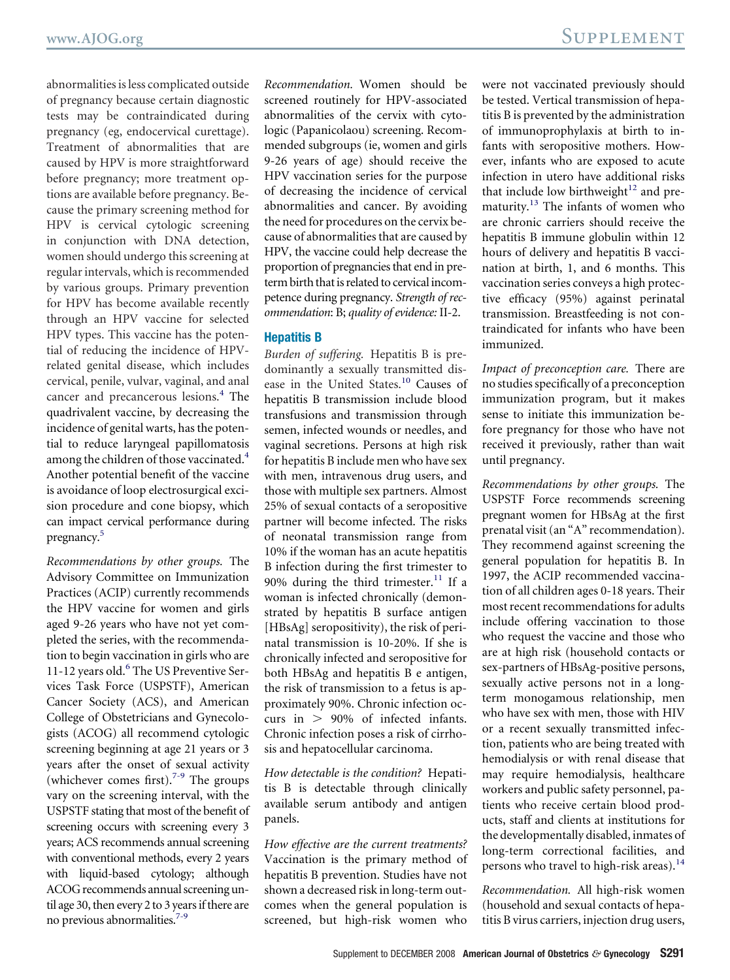abnormalities is less complicated outside of pregnancy because certain diagnostic tests may be contraindicated during pregnancy (eg, endocervical curettage). Treatment of abnormalities that are caused by HPV is more straightforward before pregnancy; more treatment options are available before pregnancy. Because the primary screening method for HPV is cervical cytologic screening in conjunction with DNA detection, women should undergo this screening at regular intervals, which is recommended by various groups. Primary prevention for HPV has become available recently through an HPV vaccine for selected HPV types. This vaccine has the potential of reducing the incidence of HPVrelated genital disease, which includes cervical, penile, vulvar, vaginal, and anal cancer and precancerous lesions.<sup>[4](#page-4-0)</sup> The quadrivalent vaccine, by decreasing the incidence of genital warts, has the potential to reduce laryngeal papillomatosis among the children of those vaccinated.<sup>[4](#page-4-0)</sup> Another potential benefit of the vaccine is avoidance of loop electrosurgical excision procedure and cone biopsy, which can impact cervical performance during pregnancy[.5](#page-4-0)

*Recommendations by other groups.* The Advisory Committee on Immunization Practices (ACIP) currently recommends the HPV vaccine for women and girls aged 9-26 years who have not yet completed the series, with the recommendation to begin vaccination in girls who are 11-12 years old.<sup>6</sup> The US Preventive Services Task Force (USPSTF), American Cancer Society (ACS), and American College of Obstetricians and Gynecologists (ACOG) all recommend cytologic screening beginning at age 21 years or 3 years after the onset of sexual activity (whichever comes first).<sup>[7-9](#page-4-0)</sup> The groups vary on the screening interval, with the USPSTF stating that most of the benefit of screening occurs with screening every 3 years; ACS recommends annual screening with conventional methods, every 2 years with liquid-based cytology; although ACOG recommends annual screening until age 30, then every 2 to 3 years if there are no previous abnormalities[.7-9](#page-4-0)

*Recommendation.* Women should be screened routinely for HPV-associated abnormalities of the cervix with cytologic (Papanicolaou) screening. Recommended subgroups (ie, women and girls 9-26 years of age) should receive the HPV vaccination series for the purpose of decreasing the incidence of cervical abnormalities and cancer. By avoiding the need for procedures on the cervix because of abnormalities that are caused by HPV, the vaccine could help decrease the proportion of pregnancies that end in preterm birth that is related to cervical incompetence during pregnancy. *Strength of recommendation*: B; *quality of evidence:* II-2.

## **Hepatitis B**

*Burden of suffering.* Hepatitis B is predominantly a sexually transmitted disease in the United States.[10](#page-5-0) Causes of hepatitis B transmission include blood transfusions and transmission through semen, infected wounds or needles, and vaginal secretions. Persons at high risk for hepatitis B include men who have sex with men, intravenous drug users, and those with multiple sex partners. Almost 25% of sexual contacts of a seropositive partner will become infected. The risks of neonatal transmission range from 10% if the woman has an acute hepatitis B infection during the first trimester to 90% during the third trimester. $11$  If a woman is infected chronically (demonstrated by hepatitis B surface antigen [HBsAg] seropositivity), the risk of perinatal transmission is 10-20%. If she is chronically infected and seropositive for both HBsAg and hepatitis B e antigen, the risk of transmission to a fetus is approximately 90%. Chronic infection occurs in  $> 90\%$  of infected infants. Chronic infection poses a risk of cirrhosis and hepatocellular carcinoma.

*How detectable is the condition?* Hepatitis B is detectable through clinically available serum antibody and antigen panels.

*How effective are the current treatments?* Vaccination is the primary method of hepatitis B prevention. Studies have not shown a decreased risk in long-term outcomes when the general population is screened, but high-risk women who

were not vaccinated previously should be tested. Vertical transmission of hepatitis B is prevented by the administration of immunoprophylaxis at birth to infants with seropositive mothers. However, infants who are exposed to acute infection in utero have additional risks that include low birthweight $12$  and prematurity.[13](#page-5-0) The infants of women who are chronic carriers should receive the hepatitis B immune globulin within 12 hours of delivery and hepatitis B vaccination at birth, 1, and 6 months. This vaccination series conveys a high protec-

tive efficacy (95%) against perinatal transmission. Breastfeeding is not contraindicated for infants who have been immunized.

*Impact of preconception care.* There are no studies specifically of a preconception immunization program, but it makes sense to initiate this immunization before pregnancy for those who have not received it previously, rather than wait until pregnancy.

*Recommendations by other groups.* The USPSTF Force recommends screening pregnant women for HBsAg at the first prenatal visit (an "A" recommendation). They recommend against screening the general population for hepatitis B. In 1997, the ACIP recommended vaccination of all children ages 0-18 years. Their most recent recommendations for adults include offering vaccination to those who request the vaccine and those who are at high risk (household contacts or sex-partners of HBsAg-positive persons, sexually active persons not in a longterm monogamous relationship, men who have sex with men, those with HIV or a recent sexually transmitted infection, patients who are being treated with hemodialysis or with renal disease that may require hemodialysis, healthcare workers and public safety personnel, patients who receive certain blood products, staff and clients at institutions for the developmentally disabled, inmates of long-term correctional facilities, and persons who travel to high-risk areas).<sup>[14](#page-5-0)</sup>

*Recommendation.* All high-risk women (household and sexual contacts of hepatitis B virus carriers, injection drug users,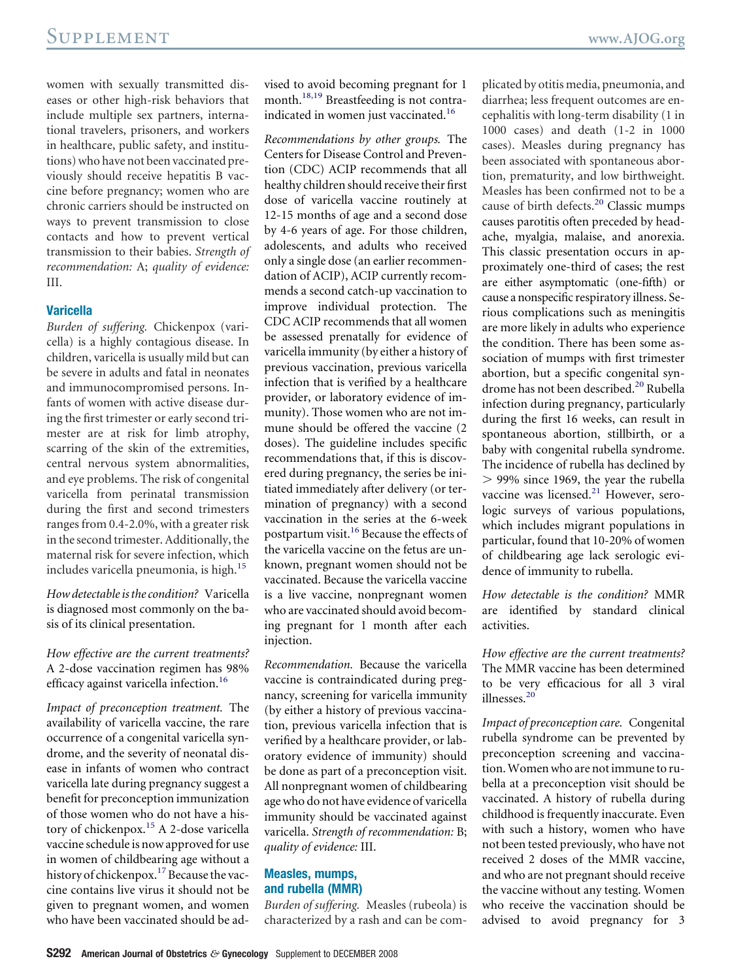women with sexually transmitted diseases or other high-risk behaviors that include multiple sex partners, international travelers, prisoners, and workers in healthcare, public safety, and institutions) who have not been vaccinated previously should receive hepatitis B vaccine before pregnancy; women who are chronic carriers should be instructed on ways to prevent transmission to close contacts and how to prevent vertical transmission to their babies. *Strength of recommendation:* A; *quality of evidence:* III.

### **Varicella**

*Burden of suffering.* Chickenpox (varicella) is a highly contagious disease. In children, varicella is usually mild but can be severe in adults and fatal in neonates and immunocompromised persons. Infants of women with active disease during the first trimester or early second trimester are at risk for limb atrophy, scarring of the skin of the extremities, central nervous system abnormalities, and eye problems. The risk of congenital varicella from perinatal transmission during the first and second trimesters ranges from 0.4-2.0%, with a greater risk in the second trimester. Additionally, the maternal risk for severe infection, which includes varicella pneumonia, is high[.15](#page-5-0)

*How detectable isthe condition?* Varicella is diagnosed most commonly on the basis of its clinical presentation.

*How effective are the current treatments?* A 2-dose vaccination regimen has 98% efficacy against varicella infection.<sup>16</sup>

*Impact of preconception treatment.* The availability of varicella vaccine, the rare occurrence of a congenital varicella syndrome, and the severity of neonatal disease in infants of women who contract varicella late during pregnancy suggest a benefit for preconception immunization of those women who do not have a history of chickenpox.[15](#page-5-0) A 2-dose varicella vaccine schedule is now approved for use in women of childbearing age without a history of chickenpox.<sup>17</sup> Because the vaccine contains live virus it should not be given to pregnant women, and women who have been vaccinated should be advised to avoid becoming pregnant for 1 month.<sup>[18,19](#page-5-0)</sup> Breastfeeding is not contra-indicated in women just vaccinated.<sup>[16](#page-5-0)</sup>

*Recommendations by other groups.* The Centers for Disease Control and Prevention (CDC) ACIP recommends that all healthy children should receive their first dose of varicella vaccine routinely at 12-15 months of age and a second dose by 4-6 years of age. For those children, adolescents, and adults who received only a single dose (an earlier recommendation of ACIP), ACIP currently recommends a second catch-up vaccination to improve individual protection. The CDC ACIP recommends that all women be assessed prenatally for evidence of varicella immunity (by either a history of previous vaccination, previous varicella infection that is verified by a healthcare provider, or laboratory evidence of immunity). Those women who are not immune should be offered the vaccine (2 doses). The guideline includes specific recommendations that, if this is discovered during pregnancy, the series be initiated immediately after delivery (or termination of pregnancy) with a second vaccination in the series at the 6-week postpartum visit.[16](#page-5-0) Because the effects of the varicella vaccine on the fetus are unknown, pregnant women should not be vaccinated. Because the varicella vaccine is a live vaccine, nonpregnant women who are vaccinated should avoid becoming pregnant for 1 month after each injection.

*Recommendation.* Because the varicella vaccine is contraindicated during pregnancy, screening for varicella immunity (by either a history of previous vaccination, previous varicella infection that is verified by a healthcare provider, or laboratory evidence of immunity) should be done as part of a preconception visit. All nonpregnant women of childbearing age who do not have evidence of varicella immunity should be vaccinated against varicella. *Strength of recommendation:* B; *quality of evidence:* III.

#### **Measles, mumps, and rubella (MMR)**

*Burden of suffering.* Measles (rubeola) is characterized by a rash and can be com-

plicated by otitis media, pneumonia, and diarrhea; less frequent outcomes are encephalitis with long-term disability (1 in 1000 cases) and death (1-2 in 1000 cases). Measles during pregnancy has been associated with spontaneous abortion, prematurity, and low birthweight. Measles has been confirmed not to be a cause of birth defects.[20](#page-5-0) Classic mumps causes parotitis often preceded by headache, myalgia, malaise, and anorexia. This classic presentation occurs in approximately one-third of cases; the rest are either asymptomatic (one-fifth) or cause a nonspecific respiratory illness. Serious complications such as meningitis are more likely in adults who experience the condition. There has been some association of mumps with first trimester abortion, but a specific congenital syndrome has not been described[.20](#page-5-0) Rubella infection during pregnancy, particularly during the first 16 weeks, can result in spontaneous abortion, stillbirth, or a baby with congenital rubella syndrome. The incidence of rubella has declined by 99% since 1969, the year the rubella vaccine was licensed.<sup>21</sup> However, serologic surveys of various populations, which includes migrant populations in particular, found that 10-20% of women of childbearing age lack serologic evidence of immunity to rubella.

*How detectable is the condition?* MMR are identified by standard clinical activities.

*How effective are the current treatments?* The MMR vaccine has been determined to be very efficacious for all 3 viral illnesses[.20](#page-5-0)

*Impact of preconception care.* Congenital rubella syndrome can be prevented by preconception screening and vaccination.Women who are not immune to rubella at a preconception visit should be vaccinated. A history of rubella during childhood is frequently inaccurate. Even with such a history, women who have not been tested previously, who have not received 2 doses of the MMR vaccine, and who are not pregnant should receive the vaccine without any testing. Women who receive the vaccination should be advised to avoid pregnancy for 3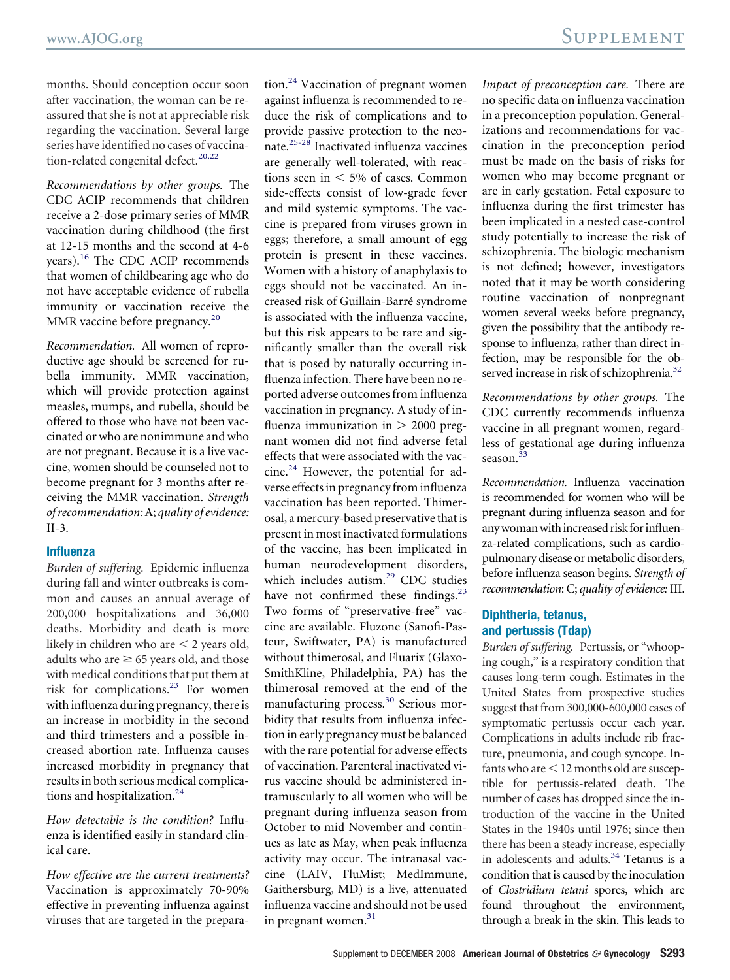months. Should conception occur soon after vaccination, the woman can be reassured that she is not at appreciable risk regarding the vaccination. Several large series have identified no cases of vaccina-tion-related congenital defect.<sup>[20,22](#page-5-0)</sup>

*Recommendations by other groups.* The CDC ACIP recommends that children receive a 2-dose primary series of MMR vaccination during childhood (the first at 12-15 months and the second at 4-6 years).[16](#page-5-0) The CDC ACIP recommends that women of childbearing age who do not have acceptable evidence of rubella immunity or vaccination receive the MMR vaccine before pregnancy.<sup>20</sup>

*Recommendation.* All women of reproductive age should be screened for rubella immunity. MMR vaccination, which will provide protection against measles, mumps, and rubella, should be offered to those who have not been vaccinated or who are nonimmune and who are not pregnant. Because it is a live vaccine, women should be counseled not to become pregnant for 3 months after receiving the MMR vaccination. *Strength of recommendation:*A; *quality of evidence:* II-3.

#### **Influenza**

*Burden of suffering.* Epidemic influenza during fall and winter outbreaks is common and causes an annual average of 200,000 hospitalizations and 36,000 deaths. Morbidity and death is more likely in children who are  $\leq$  2 years old, adults who are  $\geq 65$  years old, and those with medical conditions that put them at risk for complications.[23](#page-5-0) For women with influenza during pregnancy, there is an increase in morbidity in the second and third trimesters and a possible increased abortion rate. Influenza causes increased morbidity in pregnancy that results in both serious medical complications and hospitalization.<sup>24</sup>

*How detectable is the condition?* Influenza is identified easily in standard clinical care.

*How effective are the current treatments?* Vaccination is approximately 70-90% effective in preventing influenza against viruses that are targeted in the prepara-

tion.<sup>[24](#page-5-0)</sup> Vaccination of pregnant women against influenza is recommended to reduce the risk of complications and to provide passive protection to the neonate[.25-28](#page-5-0) Inactivated influenza vaccines are generally well-tolerated, with reactions seen in  $<$  5% of cases. Common side-effects consist of low-grade fever and mild systemic symptoms. The vaccine is prepared from viruses grown in eggs; therefore, a small amount of egg protein is present in these vaccines. Women with a history of anaphylaxis to eggs should not be vaccinated. An increased risk of Guillain-Barré syndrome is associated with the influenza vaccine, but this risk appears to be rare and significantly smaller than the overall risk that is posed by naturally occurring influenza infection. There have been no reported adverse outcomes from influenza vaccination in pregnancy. A study of influenza immunization in  $> 2000$  pregnant women did not find adverse fetal effects that were associated with the vaccine.[24](#page-5-0) However, the potential for adverse effects in pregnancy from influenza vaccination has been reported. Thimerosal, a mercury-based preservative that is present in most inactivated formulations of the vaccine, has been implicated in human neurodevelopment disorders, which includes autism.<sup>[29](#page-5-0)</sup> CDC studies have not confirmed these findings.<sup>23</sup> Two forms of "preservative-free" vaccine are available. Fluzone (Sanofi-Pasteur, Swiftwater, PA) is manufactured without thimerosal, and Fluarix (Glaxo-SmithKline, Philadelphia, PA) has the thimerosal removed at the end of the manufacturing process.<sup>[30](#page-5-0)</sup> Serious morbidity that results from influenza infection in early pregnancy must be balanced with the rare potential for adverse effects of vaccination. Parenteral inactivated virus vaccine should be administered intramuscularly to all women who will be pregnant during influenza season from October to mid November and continues as late as May, when peak influenza activity may occur. The intranasal vaccine (LAIV, FluMist; MedImmune, Gaithersburg, MD) is a live, attenuated influenza vaccine and should not be used in pregnant women.<sup>[31](#page-5-0)</sup>

*Impact of preconception care.* There are no specific data on influenza vaccination in a preconception population. Generalizations and recommendations for vaccination in the preconception period must be made on the basis of risks for women who may become pregnant or are in early gestation. Fetal exposure to influenza during the first trimester has been implicated in a nested case-control study potentially to increase the risk of schizophrenia. The biologic mechanism is not defined; however, investigators noted that it may be worth considering routine vaccination of nonpregnant women several weeks before pregnancy, given the possibility that the antibody response to influenza, rather than direct infection, may be responsible for the observed increase in risk of schizophrenia.<sup>32</sup>

*Recommendations by other groups.* The CDC currently recommends influenza vaccine in all pregnant women, regardless of gestational age during influenza season. $\frac{3}{3}$ 

*Recommendation.* Influenza vaccination is recommended for women who will be pregnant during influenza season and for any woman with increased risk for influenza-related complications, such as cardiopulmonary disease or metabolic disorders, before influenza season begins. *Strength of recommendation*: C; *quality of evidence:*III.

## **Diphtheria, tetanus, and pertussis (Tdap)**

*Burden of suffering.* Pertussis, or "whooping cough," is a respiratory condition that causes long-term cough. Estimates in the United States from prospective studies suggest that from 300,000-600,000 cases of symptomatic pertussis occur each year. Complications in adults include rib fracture, pneumonia, and cough syncope. Infants who are  $\leq$  12 months old are susceptible for pertussis-related death. The number of cases has dropped since the introduction of the vaccine in the United States in the 1940s until 1976; since then there has been a steady increase, especially in adolescents and adults. $34$  Tetanus is a condition that is caused by the inoculation of *Clostridium tetani* spores, which are found throughout the environment, through a break in the skin. This leads to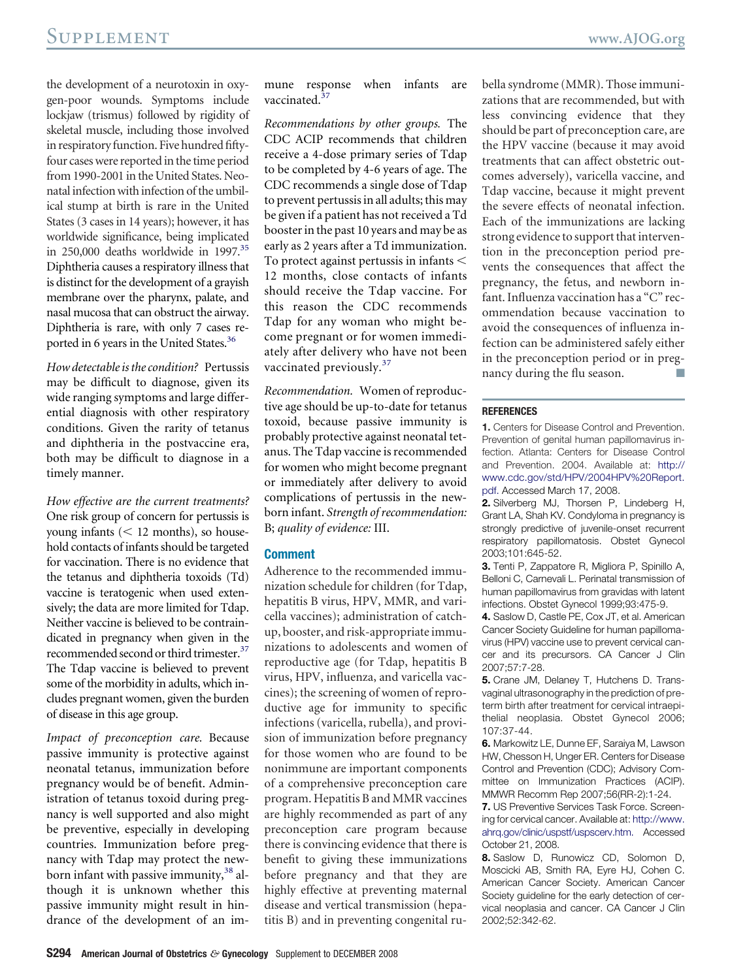<span id="page-4-0"></span>the development of a neurotoxin in oxygen-poor wounds. Symptoms include lockjaw (trismus) followed by rigidity of skeletal muscle, including those involved in respiratory function. Five hundred fiftyfour cases were reported in the time period from 1990-2001 in the United States. Neonatal infection with infection of the umbilical stump at birth is rare in the United States (3 cases in 14 years); however, it has worldwide significance, being implicated in 250,000 deaths worldwide in  $1997.^{35}$ Diphtheria causes a respiratory illness that is distinct for the development of a grayish membrane over the pharynx, palate, and nasal mucosa that can obstruct the airway. Diphtheria is rare, with only 7 cases reported in 6 years in the United States.<sup>36</sup>

*How detectable isthe condition?* Pertussis may be difficult to diagnose, given its wide ranging symptoms and large differential diagnosis with other respiratory conditions. Given the rarity of tetanus and diphtheria in the postvaccine era, both may be difficult to diagnose in a timely manner.

*How effective are the current treatments?* One risk group of concern for pertussis is young infants  $(< 12$  months), so household contacts of infants should be targeted for vaccination. There is no evidence that the tetanus and diphtheria toxoids (Td) vaccine is teratogenic when used extensively; the data are more limited for Tdap. Neither vaccine is believed to be contraindicated in pregnancy when given in the recommended second or third trimester[.37](#page-5-0) The Tdap vaccine is believed to prevent some of the morbidity in adults, which includes pregnant women, given the burden of disease in this age group.

*Impact of preconception care.* Because passive immunity is protective against neonatal tetanus, immunization before pregnancy would be of benefit. Administration of tetanus toxoid during pregnancy is well supported and also might be preventive, especially in developing countries. Immunization before pregnancy with Tdap may protect the newborn infant with passive immunity,  $38$  although it is unknown whether this passive immunity might result in hindrance of the development of an immune response when infants are vaccinated.<sup>[37](#page-5-0)</sup>

*Recommendations by other groups.* The CDC ACIP recommends that children receive a 4-dose primary series of Tdap to be completed by 4-6 years of age. The CDC recommends a single dose of Tdap to prevent pertussis in all adults; this may be given if a patient has not received a Td booster in the past 10 years and may be as early as 2 years after a Td immunization. To protect against pertussis in infants  $<$ 12 months, close contacts of infants should receive the Tdap vaccine. For this reason the CDC recommends Tdap for any woman who might become pregnant or for women immediately after delivery who have not been vaccinated previously.<sup>[37](#page-5-0)</sup>

*Recommendation.* Women of reproductive age should be up-to-date for tetanus toxoid, because passive immunity is probably protective against neonatal tetanus. The Tdap vaccine is recommended for women who might become pregnant or immediately after delivery to avoid complications of pertussis in the newborn infant. *Strength of recommendation:* B; *quality of evidence:* III.

#### **Comment**

Adherence to the recommended immunization schedule for children (for Tdap, hepatitis B virus, HPV, MMR, and varicella vaccines); administration of catchup, booster, and risk-appropriate immunizations to adolescents and women of reproductive age (for Tdap, hepatitis B virus, HPV, influenza, and varicella vaccines); the screening of women of reproductive age for immunity to specific infections (varicella, rubella), and provision of immunization before pregnancy for those women who are found to be nonimmune are important components of a comprehensive preconception care program. Hepatitis B and MMR vaccines are highly recommended as part of any preconception care program because there is convincing evidence that there is benefit to giving these immunizations before pregnancy and that they are highly effective at preventing maternal disease and vertical transmission (hepatitis B) and in preventing congenital rubella syndrome (MMR). Those immunizations that are recommended, but with less convincing evidence that they should be part of preconception care, are the HPV vaccine (because it may avoid treatments that can affect obstetric outcomes adversely), varicella vaccine, and Tdap vaccine, because it might prevent the severe effects of neonatal infection. Each of the immunizations are lacking strong evidence to support that intervention in the preconception period prevents the consequences that affect the pregnancy, the fetus, and newborn infant. Influenza vaccination has a "C" recommendation because vaccination to avoid the consequences of influenza infection can be administered safely either in the preconception period or in pregnancy during the flu season.  $\Box$ 

#### **REFERENCES**

**1.** Centers for Disease Control and Prevention. Prevention of genital human papillomavirus infection. Atlanta: Centers for Disease Control and Prevention. 2004. Available at: [http://](http://www.cdc.gov/std/HPV/2004HPV%20Report.pdf) [www.cdc.gov/std/HPV/2004HPV%20Report.](http://www.cdc.gov/std/HPV/2004HPV%20Report.pdf) [pdf.](http://www.cdc.gov/std/HPV/2004HPV%20Report.pdf) Accessed March 17, 2008.

**2.** Silverberg MJ, Thorsen P, Lindeberg H, Grant LA, Shah KV. Condyloma in pregnancy is strongly predictive of juvenile-onset recurrent respiratory papillomatosis. Obstet Gynecol 2003;101:645-52.

**3.** Tenti P, Zappatore R, Migliora P, Spinillo A, Belloni C, Carnevali L. Perinatal transmission of human papillomavirus from gravidas with latent infections. Obstet Gynecol 1999;93:475-9.

**4.** Saslow D, Castle PE, Cox JT, et al. American Cancer Society Guideline for human papillomavirus (HPV) vaccine use to prevent cervical cancer and its precursors. CA Cancer J Clin 2007;57:7-28.

**5.** Crane JM, Delaney T, Hutchens D. Transvaginal ultrasonography in the prediction of preterm birth after treatment for cervical intraepithelial neoplasia. Obstet Gynecol 2006; 107:37-44.

**6.** Markowitz LE, Dunne EF, Saraiya M, Lawson HW, Chesson H, Unger ER. Centers for Disease Control and Prevention (CDC); Advisory Committee on Immunization Practices (ACIP). MMWR Recomm Rep 2007;56(RR-2):1-24.

**7.** US Preventive Services Task Force. Screening for cervical cancer. Available at: [http://www.](http://www.ahrq.gov/clinic/uspstf/uspscerv.htm) [ahrq.gov/clinic/uspstf/uspscerv.htm.](http://www.ahrq.gov/clinic/uspstf/uspscerv.htm) Accessed October 21, 2008.

**8.** Saslow D, Runowicz CD, Solomon D, Moscicki AB, Smith RA, Eyre HJ, Cohen C. American Cancer Society. American Cancer Society guideline for the early detection of cervical neoplasia and cancer. CA Cancer J Clin 2002;52:342-62.